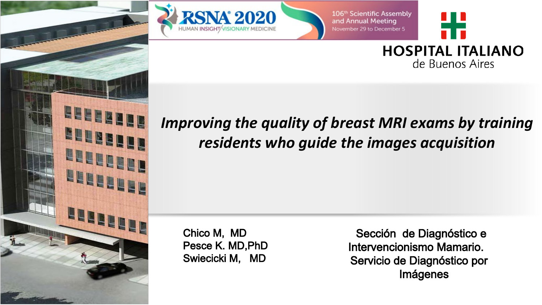

**BELLERER** 

**MUNICIPY** 

**LELELER** 

**LEBERTER** 

Hue

106<sup>th</sup> Scientific Assembly and Annual Meeting November 29 to December 5



**HOSPITAL ITALIANO** de Buenos Aires

## *Improving the quality of breast MRI exams by training residents who guide the images acquisition*

Chico M, MD Pesce K. MD,PhD Swiecicki M, MD

Sección de Diagnóstico e Intervencionismo Mamario. Servicio de Diagnóstico por Imágenes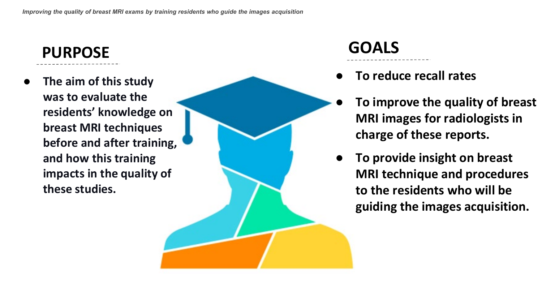## **PURPOSE**

● **The aim of this study was to evaluate the residents' knowledge on breast MRI techniques before and after training, and how this training impacts in the quality of these studies.**

# **GOALS**

- **To reduce recall rates**
- **To improve the quality of breast MRI images for radiologists in charge of these reports.**
- **To provide insight on breast MRI technique and procedures to the residents who will be guiding the images acquisition.**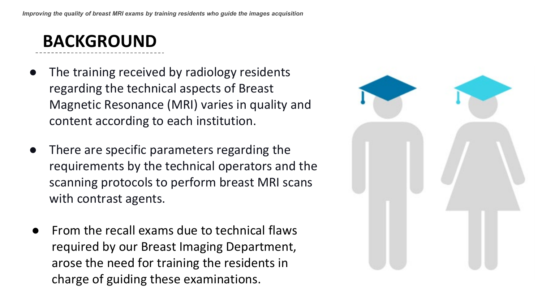## **BACKGROUND**

- The training received by radiology residents regarding the technical aspects of Breast Magnetic Resonance (MRI) varies in quality and content according to each institution.
- There are specific parameters regarding the requirements by the technical operators and the scanning protocols to perform breast MRI scans with contrast agents.
- From the recall exams due to technical flaws required by our Breast Imaging Department, arose the need for training the residents in charge of guiding these examinations.

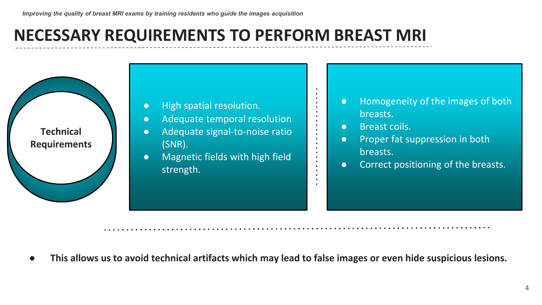## **NECESSARY REQUIREMENTS TO PERFORM BREAST MRI**



- High spatial resolution.
- Adequate temporal resolution
- Adequate signal-to-noise ratio (SNR).
- Magnetic fields with high field strength.
- Homogeneity of the images of both breasts.
- Breast coils.

 $\blacksquare$ 

 $\blacksquare$  $\blacksquare$ 

 $\blacksquare$ 

- Proper fat suppression in both breasts.
- Correct positioning of the breasts.

This allows us to avoid technical artifacts which may lead to false images or even hide suspicious lesions.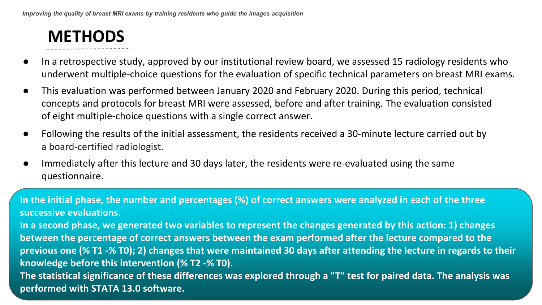## **METHODS**

- In a retrospective study, approved by our institutional review board, we assessed 15 radiology residents who underwent multiple-choice questions for the evaluation of specific technical parameters on breast MRI exams.
- This evaluation was performed between January 2020 and February 2020. During this period, technical concepts and protocols for breast MRI were assessed, before and after training. The evaluation consisted of eight multiple-choice questions with a single correct answer.
- Following the results of the initial assessment, the residents received a 30-minute lecture carried out by a board-certified radiologist.
- Immediately after this lecture and 30 days later, the residents were re-evaluated using the same questionnaire.

**In the initial phase, the number and percentages (%) of correct answers were analyzed in each of the three successive evaluations. In a second phase, we generated two variables to represent the changes generated by this action: 1) changes between the percentage of correct answers between the exam performed after the lecture compared to the previous one (% T1 -% T0); 2) changes that were maintained 30 days after attending the lecture in regards to their knowledge before this intervention (% T2 -% T0). The statistical significance of these differences was explored through a "T" test for paired data. The analysis was performed with STATA 13.0 software.**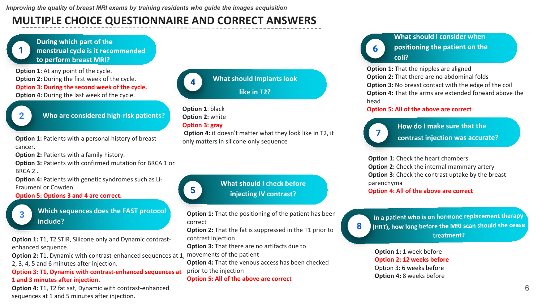### **MULTIPLE CHOICE QUESTIONNAIRE AND CORRECT ANSWERS**

During which part of the menstrual cycle is it recommended to perform breast MRI?

**Option 1**: At any point of the cycle. **Option 2:** During the first week of the cycle. **Option 3: During the second week of the cycle. Option 4:** During the last week of the cycle.



**Who are considered high-risk patients?**

**Option 1: Patients with a personal history of breast** cancer.

**Option 2: Patients with a family history.** 

**Option 3:** Patients with confirmed mutation for BRCA 1 or BRCA 2 .

**Option 4: Patients with genetic syndromes such as Li-**Fraumeni or Cowden.

**Option 5: Options 3 and 4 are correct.**



**Which sequences does the FAST protocol include?**

**Option 1: T1, T2 STIR, Silicone only and Dynamic contrast**enhanced sequence.

**Option 2:** T1, Dynamic with contrast-enhanced sequences at 1,

2, 3, 4, 5 and 6 minutes after injection.

**Option 3: T1, Dynamic with contrast-enhanced sequences at 1 and 3 minutes after injection.**

**Option 4:** T1, T2 fat sat, Dynamic with contrast-enhanced sequences at 1 and 5 minutes after injection.



**What should implants look like in T2?**

#### **Option 1**: black **Option 2:** white **Option 3: gray**

5

**Option 4:** it doesn't matter what they look like in T2, it only matters in silicone only sequence

> What should I check before injecting IV contrast?

**Option 1:** That the positioning of the patient has been correct

**Option 2:** That the fat is suppressed in the T1 prior to contrast injection

**Option 3:** That there are no artifacts due to

movements of the patient

**Option 4:** That the venous access has been checked prior to the injection

#### **Option 5: All of the above are correct**

What should I consider when positioning the patient on the coil?

**Option 1:** That the nipples are aligned **Option 2:** That there are no abdominal folds **Option 3:** No breast contact with the edge of the coil **Option 4:** That the arms are extended forward above the head

#### **Option 5: All of the above are correct**



How do I make sure that the contrast injection was accurate?

**Option 1:** Check the heart chambers **Option 2:** Check the internal mammary artery **Option 3:** Check the contrast uptake by the breast parenchyma **Option 4: All of the above are correct**

8

In a patient who is on hormone replacement therapy (HRT), how long before the MRI scan should she cease treatment?

**Option 1: 1 week before Option 2: 12 weeks before** Option 3: 6 weeks before **Option 4:** 8 weeks before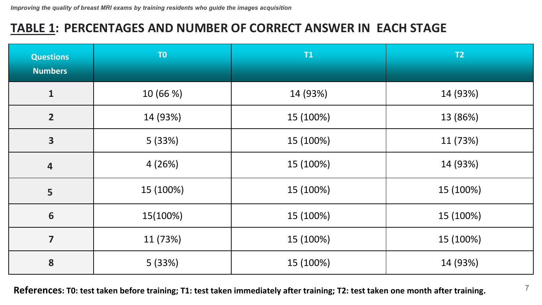### **TABLE 1: PERCENTAGES AND NUMBER OF CORRECT ANSWER IN EACH STAGE**

| <b>Questions</b><br><b>Numbers</b> | T <sub>0</sub> | T1        | T2        |
|------------------------------------|----------------|-----------|-----------|
| $\mathbf{1}$                       | 10 (66 %)      | 14 (93%)  | 14 (93%)  |
| $\overline{2}$                     | 14 (93%)       | 15 (100%) | 13 (86%)  |
| $\overline{\mathbf{3}}$            | 5 (33%)        | 15 (100%) | 11 (73%)  |
| $\overline{\mathbf{4}}$            | 4(26%)         | 15 (100%) | 14 (93%)  |
| 5                                  | 15 (100%)      | 15 (100%) | 15 (100%) |
| $\boldsymbol{6}$                   | 15(100%)       | 15 (100%) | 15 (100%) |
| $\overline{\mathbf{z}}$            | 11 (73%)       | 15 (100%) | 15 (100%) |
| 8                                  | 5(33%)         | 15 (100%) | 14 (93%)  |

**References: T0: test taken before training; T1: test taken immediately after training; T2: test taken one month after training.**

7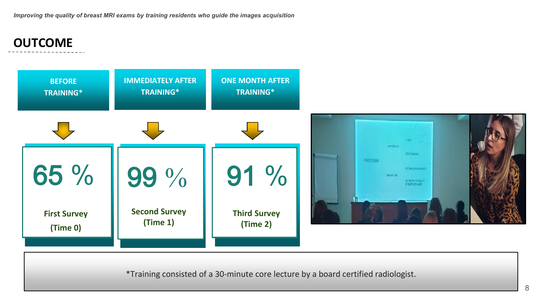### **OUTCOME**



\*Training consisted of a 30-minute core lecture by a board certified radiologist.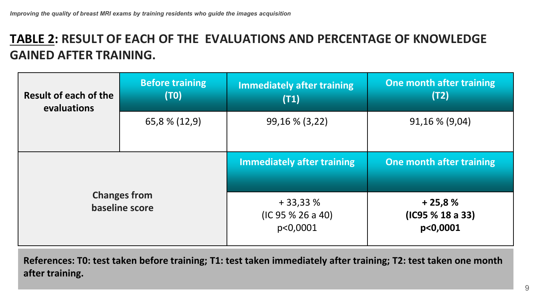### **TABLE 2: RESULT OF EACH OF THE EVALUATIONS AND PERCENTAGE OF KNOWLEDGE GAINED AFTER TRAINING.**

| Result of each of the<br>evaluations  | <b>Before training</b><br>(T0) | <b>Immediately after training</b><br>(T1)  | One month after training<br>(T2)         |
|---------------------------------------|--------------------------------|--------------------------------------------|------------------------------------------|
|                                       | 65,8 % (12,9)                  | 99,16 % (3,22)                             | 91,16 % (9,04)                           |
|                                       |                                | <b>Immediately after training</b>          | One month after training                 |
| <b>Changes from</b><br>baseline score |                                | $+33,33%$<br>(IC 95 % 26 a 40)<br>p<0,0001 | $+25,8%$<br>(IC95 % 18 a 33)<br>p<0,0001 |

**References: T0: test taken before training; T1: test taken immediately after training; T2: test taken one month after training.**